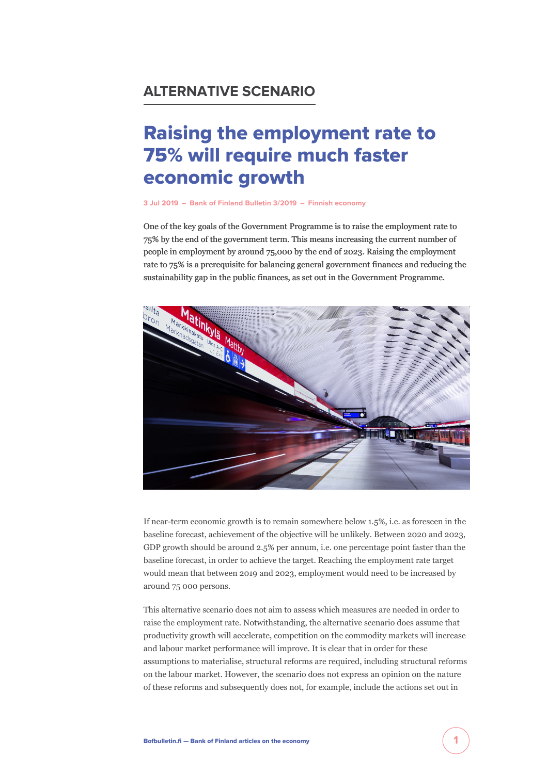## **ALTERNATIVE SCENARIO**

# Raising the employment rate to 75% will require much faster economic growth

#### **[3 Jul 2019](https://www.bofbulletin.fi/en/archive/?date=2019-07-03) – [Bank of Finland Bulletin 3/2019](https://www.bofbulletin.fi/en/archive/?issue=2019-3) – [Finnish economy](https://www.bofbulletin.fi/en/finnish-economy/)**

One of the key goals of the Government Programme is to raise the employment rate to 75% by the end of the government term. This means increasing the current number of people in employment by around 75,000 by the end of 2023. Raising the employment rate to 75% is a prerequisite for balancing general government finances and reducing the sustainability gap in the public finances, as set out in the Government Programme.



If near-term economic growth is to remain somewhere below 1.5%, i.e. as foreseen in the baseline forecast, achievement of the objective will be unlikely. Between 2020 and 2023, GDP growth should be around 2.5% per annum, i.e. one percentage point faster than the baseline forecast, in order to achieve the target. Reaching the employment rate target would mean that between 2019 and 2023, employment would need to be increased by around 75 000 persons.

This alternative scenario does not aim to assess which measures are needed in order to raise the employment rate. Notwithstanding, the alternative scenario does assume that productivity growth will accelerate, competition on the commodity markets will increase and labour market performance will improve. It is clear that in order for these assumptions to materialise, structural reforms are required, including structural reforms on the labour market. However, the scenario does not express an opinion on the nature of these reforms and subsequently does not, for example, include the actions set out in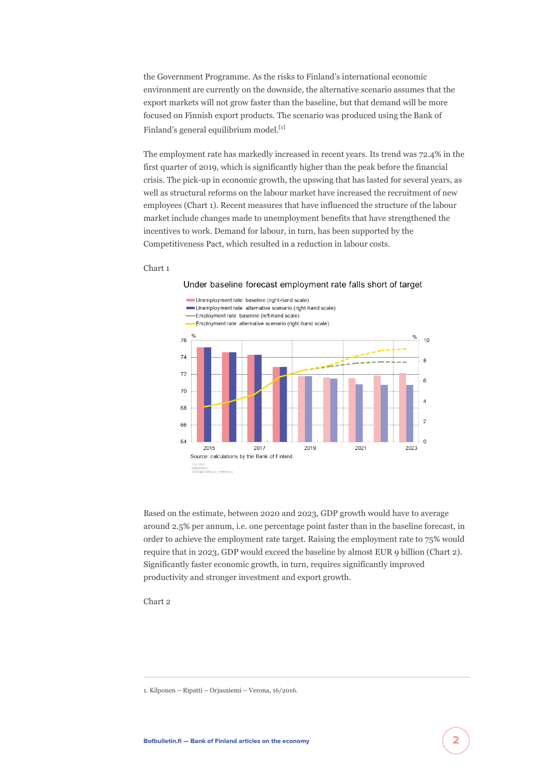the Government Programme. As the risks to Finland's international economic environment are currently on the downside, the alternative scenario assumes that the export markets will not grow faster than the baseline, but that demand will be more focused on Finnish export products. The scenario was produced using the Bank of Finland's general equilibrium model.<sup>[1]</sup>

The employment rate has markedly increased in recent years. Its trend was 72.4% in the first quarter of 2019, which is significantly higher than the peak before the financial crisis. The pick-up in economic growth, the upswing that has lasted for several years, as well as structural reforms on the labour market have increased the recruitment of new employees (Chart 1). Recent measures that have influenced the structure of the labour market include changes made to unemployment benefits that have strengthened the incentives to work. Demand for labour, in turn, has been supported by the Competitiveness Pact, which resulted in a reduction in labour costs.

#### Chart 1



Based on the estimate, between 2020 and 2023, GDP growth would have to average around 2.5% per annum, i.e. one percentage point faster than in the baseline forecast, in order to achieve the employment rate target. Raising the employment rate to 75% would require that in 2023, GDP would exceed the baseline by almost EUR 9 billion (Chart 2). Significantly faster economic growth, in turn, requires significantly improved productivity and stronger investment and export growth.

Chart 2

1. Kilponen – Ripatti – Orjasniemi – Verona, 16/2016.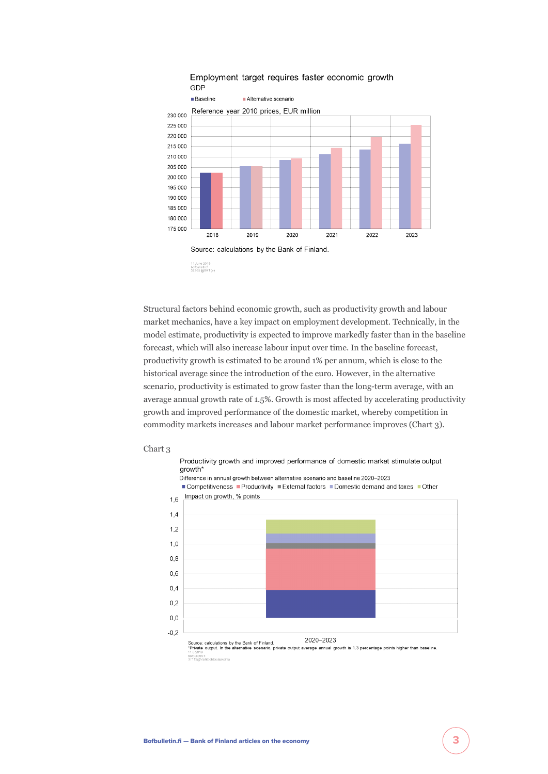

#### Employment target requires faster economic growth GDP

Structural factors behind economic growth, such as productivity growth and labour market mechanics, have a key impact on employment development. Technically, in the model estimate, productivity is expected to improve markedly faster than in the baseline forecast, which will also increase labour input over time. In the baseline forecast, productivity growth is estimated to be around 1% per annum, which is close to the historical average since the introduction of the euro. However, in the alternative scenario, productivity is estimated to grow faster than the long-term average, with an average annual growth rate of 1.5%. Growth is most affected by accelerating productivity growth and improved performance of the domestic market, whereby competition in commodity markets increases and labour market performance improves (Chart 3).





11.6.2019<br>bofbulletin.fi<br>37113@Vaih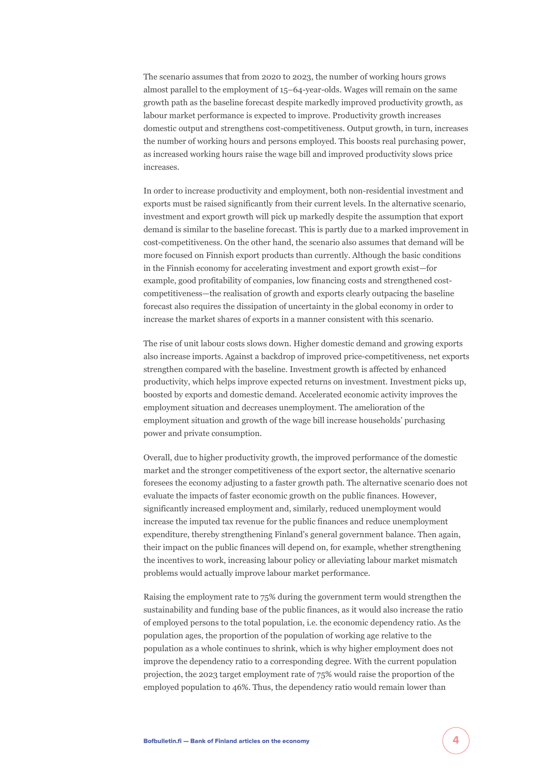The scenario assumes that from 2020 to 2023, the number of working hours grows almost parallel to the employment of 15–64-year-olds. Wages will remain on the same growth path as the baseline forecast despite markedly improved productivity growth, as labour market performance is expected to improve. Productivity growth increases domestic output and strengthens cost-competitiveness. Output growth, in turn, increases the number of working hours and persons employed. This boosts real purchasing power, as increased working hours raise the wage bill and improved productivity slows price increases.

In order to increase productivity and employment, both non-residential investment and exports must be raised significantly from their current levels. In the alternative scenario, investment and export growth will pick up markedly despite the assumption that export demand is similar to the baseline forecast. This is partly due to a marked improvement in cost-competitiveness. On the other hand, the scenario also assumes that demand will be more focused on Finnish export products than currently. Although the basic conditions in the Finnish economy for accelerating investment and export growth exist—for example, good profitability of companies, low financing costs and strengthened costcompetitiveness—the realisation of growth and exports clearly outpacing the baseline forecast also requires the dissipation of uncertainty in the global economy in order to increase the market shares of exports in a manner consistent with this scenario.

The rise of unit labour costs slows down. Higher domestic demand and growing exports also increase imports. Against a backdrop of improved price-competitiveness, net exports strengthen compared with the baseline. Investment growth is affected by enhanced productivity, which helps improve expected returns on investment. Investment picks up, boosted by exports and domestic demand. Accelerated economic activity improves the employment situation and decreases unemployment. The amelioration of the employment situation and growth of the wage bill increase households' purchasing power and private consumption.

Overall, due to higher productivity growth, the improved performance of the domestic market and the stronger competitiveness of the export sector, the alternative scenario foresees the economy adjusting to a faster growth path. The alternative scenario does not evaluate the impacts of faster economic growth on the public finances. However, significantly increased employment and, similarly, reduced unemployment would increase the imputed tax revenue for the public finances and reduce unemployment expenditure, thereby strengthening Finland's general government balance. Then again, their impact on the public finances will depend on, for example, whether strengthening the incentives to work, increasing labour policy or alleviating labour market mismatch problems would actually improve labour market performance.

Raising the employment rate to 75% during the government term would strengthen the sustainability and funding base of the public finances, as it would also increase the ratio of employed persons to the total population, i.e. the economic dependency ratio. As the population ages, the proportion of the population of working age relative to the population as a whole continues to shrink, which is why higher employment does not improve the dependency ratio to a corresponding degree. With the current population projection, the 2023 target employment rate of 75% would raise the proportion of the employed population to 46%. Thus, the dependency ratio would remain lower than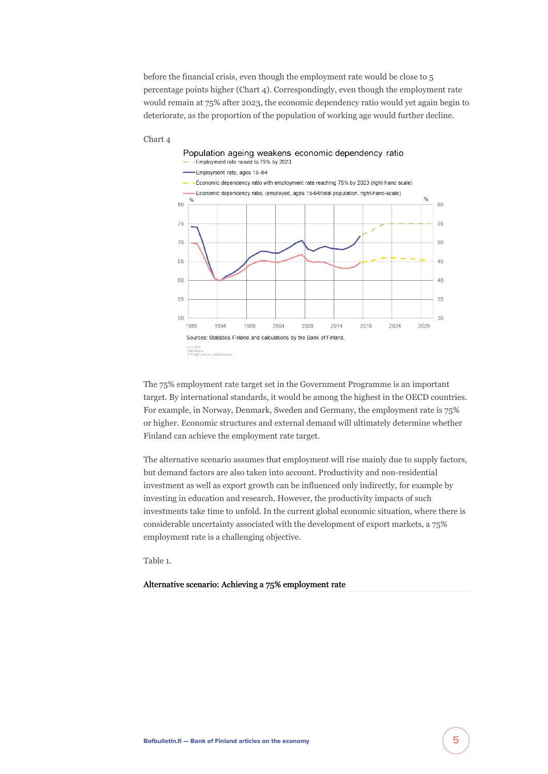before the financial crisis, even though the employment rate would be close to 5 percentage points higher (Chart 4). Correspondingly, even though the employment rate would remain at 75% after 2023, the economic dependency ratio would yet again begin to deteriorate, as the proportion of the population of working age would further decline.



#### Chart 4

The 75% employment rate target set in the Government Programme is an important target. By international standards, it would be among the highest in the OECD countries. For example, in Norway, Denmark, Sweden and Germany, the employment rate is 75% or higher. Economic structures and external demand will ultimately determine whether Finland can achieve the employment rate target.

The alternative scenario assumes that employment will rise mainly due to supply factors, but demand factors are also taken into account. Productivity and non-residential investment as well as export growth can be influenced only indirectly, for example by investing in education and research. However, the productivity impacts of such investments take time to unfold. In the current global economic situation, where there is considerable uncertainty associated with the development of export markets, a 75% employment rate is a challenging objective.

Table 1.

#### Alternative scenario: Achieving a 75% employment rate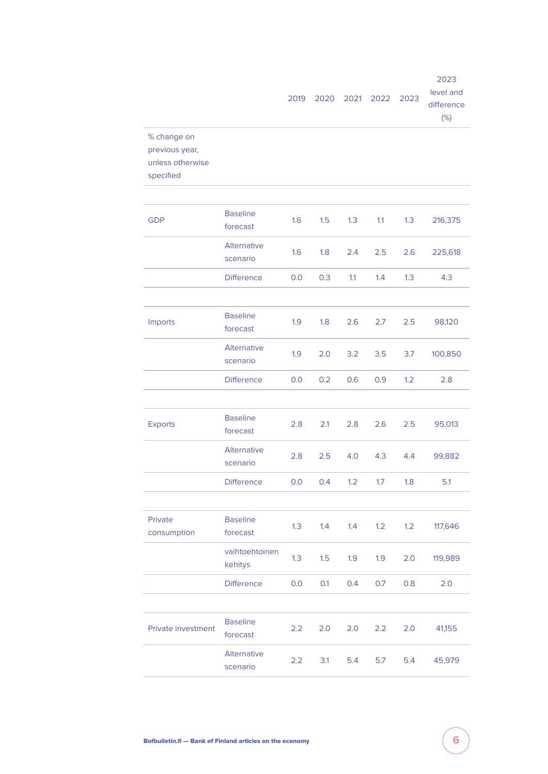|                                                                |                                | 2019 | 2020 | 2021 | 2022 | 2023 | 2023<br>level and<br>difference<br>(%) |
|----------------------------------------------------------------|--------------------------------|------|------|------|------|------|----------------------------------------|
| % change on<br>previous year,<br>unless otherwise<br>specified |                                |      |      |      |      |      |                                        |
|                                                                |                                |      |      |      |      |      |                                        |
| <b>GDP</b>                                                     | <b>Baseline</b><br>forecast    | 1.6  | 1.5  | 1.3  | 1.1  | 1.3  | 216,375                                |
|                                                                | Alternative<br>scenario        | 1.6  | 1.8  | 2.4  | 2.5  | 2.6  | 225,618                                |
|                                                                | <b>Difference</b>              | 0.0  | 0.3  | 1.1  | 1.4  | 1.3  | 4.3                                    |
|                                                                |                                |      |      |      |      |      |                                        |
| Imports                                                        | <b>Baseline</b><br>forecast    | 1.9  | 1.8  | 2.6  | 2.7  | 2.5  | 98,120                                 |
|                                                                | Alternative<br>scenario        | 1.9  | 2.0  | 3.2  | 3.5  | 3.7  | 100,850                                |
|                                                                | <b>Difference</b>              | 0.0  | 0.2  | 0.6  | 0.9  | 1.2  | 2.8                                    |
|                                                                |                                |      |      |      |      |      |                                        |
| Exports                                                        | <b>Baseline</b><br>forecast    | 2.8  | 2.1  | 2.8  | 2.6  | 2.5  | 95,013                                 |
|                                                                | Alternative<br>scenario        | 2.8  | 2.5  | 4.0  | 4.3  | 4.4  | 99,882                                 |
|                                                                | <b>Difference</b>              | 0.0  | 0.4  | 1.2  | 1.7  | 1.8  | 5.1                                    |
|                                                                |                                |      |      |      |      |      |                                        |
| Private<br>consumption                                         | <b>Baseline</b><br>forecast    | 1.3  | 1.4  | 1.4  | 1.2  | 1.2  | 117,646                                |
|                                                                | vaihtoehtoinen<br>kehitys      | 1.3  | 1.5  | 1.9  | 1.9  | 2.0  | 119,989                                |
|                                                                | <b>Difference</b>              | 0.0  | 0.1  | 0.4  | 0.7  | 0.8  | 2.0                                    |
|                                                                |                                |      |      |      |      |      |                                        |
| Private investment                                             | <b>Baseline</b><br>forecast    | 2.2  | 2.0  | 2.0  | 2.2  | 2.0  | 41,155                                 |
|                                                                | <b>Alternative</b><br>scenario | 2.2  | 3.1  | 5.4  | 5.7  | 5.4  | 45,979                                 |
|                                                                |                                |      |      |      |      |      |                                        |